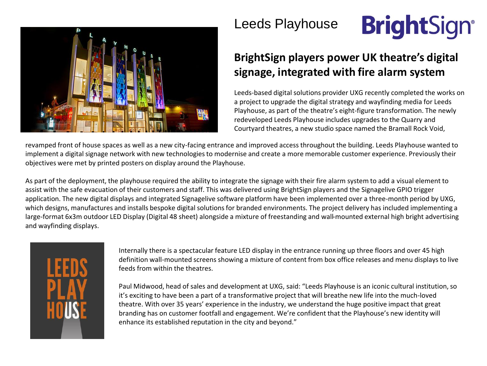

Leeds Playhouse

## **BrightSign®**

## **BrightSign players power UK theatre's digital signage, integrated with fire alarm system**

Leeds-based digital solutions provider UXG recently completed the works on a project to upgrade the digital strategy and wayfinding media for Leeds Playhouse, as part of the theatre's eight-figure transformation. The newly redeveloped Leeds Playhouse includes upgrades to the Quarry and Courtyard theatres, a new studio space named the Bramall Rock Void,

revamped front of house spaces as well as a new city-facing entrance and improved access throughout the building. Leeds Playhouse wanted to implement a digital signage network with new technologies to modernise and create a more memorable customer experience. Previously their objectives were met by printed posters on display around the Playhouse.

As part of the deployment, the playhouse required the ability to integrate the signage with their fire alarm system to add a visual element to assist with the safe evacuation of their customers and staff. This was delivered using BrightSign players and the Signagelive GPIO trigger application. The new digital displays and integrated Signagelive software platform have been implemented over a three-month period by UXG, which designs, manufactures and installs bespoke digital solutions for branded environments. The project delivery has included implementing a large-format 6x3m outdoor LED Display (Digital 48 sheet) alongside a mixture of freestanding and wall-mounted external high bright advertising and wayfinding displays.



Internally there is a spectacular feature LED display in the entrance running up three floors and over 45 high definition wall-mounted screens showing a mixture of content from box office releases and menu displays to live feeds from within the theatres.

Paul Midwood, head of sales and development at UXG, said: "Leeds Playhouse is an iconic cultural institution, so it's exciting to have been a part of a transformative project that will breathe new life into the much-loved theatre. With over 35 years' experience in the industry, we understand the huge positive impact that great branding has on customer footfall and engagement. We're confident that the Playhouse's new identity will enhance its established reputation in the city and beyond."